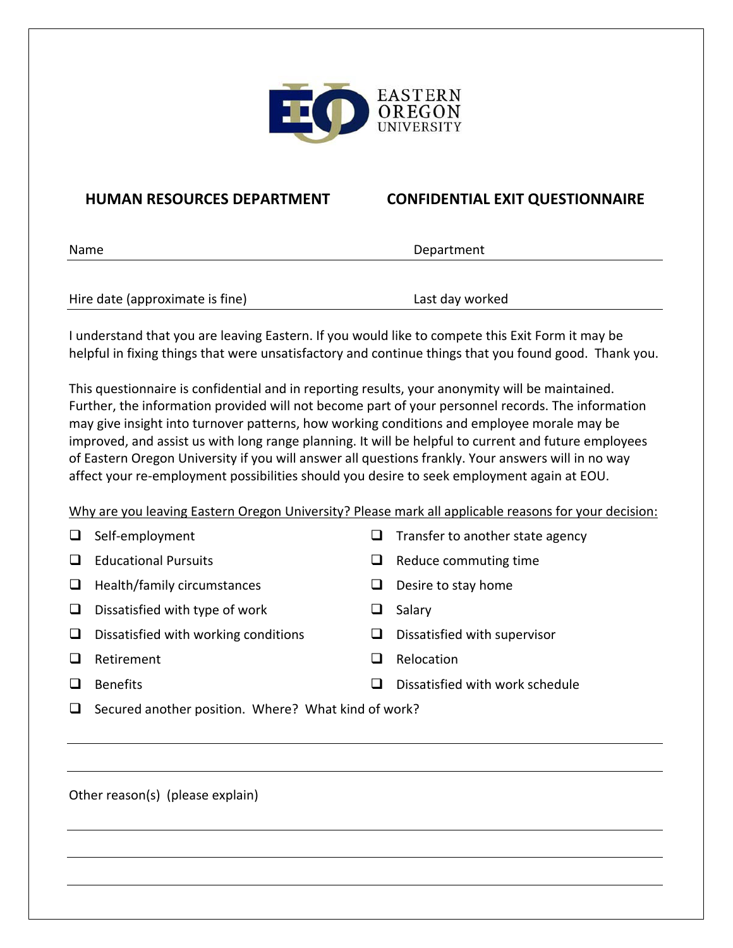

## **HUMAN RESOURCES DEPARTMENT CONFIDENTIAL EXIT QUESTIONNAIRE**

| Name                            | Department      |  |
|---------------------------------|-----------------|--|
|                                 |                 |  |
| Hire date (approximate is fine) | Last day worked |  |

I understand that you are leaving Eastern. If you would like to compete this Exit Form it may be helpful in fixing things that were unsatisfactory and continue things that you found good. Thank you.

This questionnaire is confidential and in reporting results, your anonymity will be maintained. Further, the information provided will not become part of your personnel records. The information may give insight into turnover patterns, how working conditions and employee morale may be improved, and assist us with long range planning. It will be helpful to current and future employees of Eastern Oregon University if you will answer all questions frankly. Your answers will in no way affect your re-employment possibilities should you desire to seek employment again at EOU.

Why are you leaving Eastern Oregon University? Please mark all applicable reasons for your decision:

|  | Self-employment |
|--|-----------------|
|--|-----------------|

- 
- $\Box$  Health/family circumstances  $\Box$  Desire to stay home
- $\Box$  Dissatisfied with type of work  $\Box$  Salary
- $\Box$  Dissatisfied with working conditions  $\Box$  Dissatisfied with supervisor
- **Q** Retirement **C** Relocation
- 

 $\Box$  Educational Pursuits  $\Box$  Reduce commuting time

 $\Box$  Transfer to another state agency

- 
- 
- 
- 
- $\square$  Benefits  $\square$  Benefits
- $\Box$  Secured another position. Where? What kind of work?

Other reason(s) (please explain)